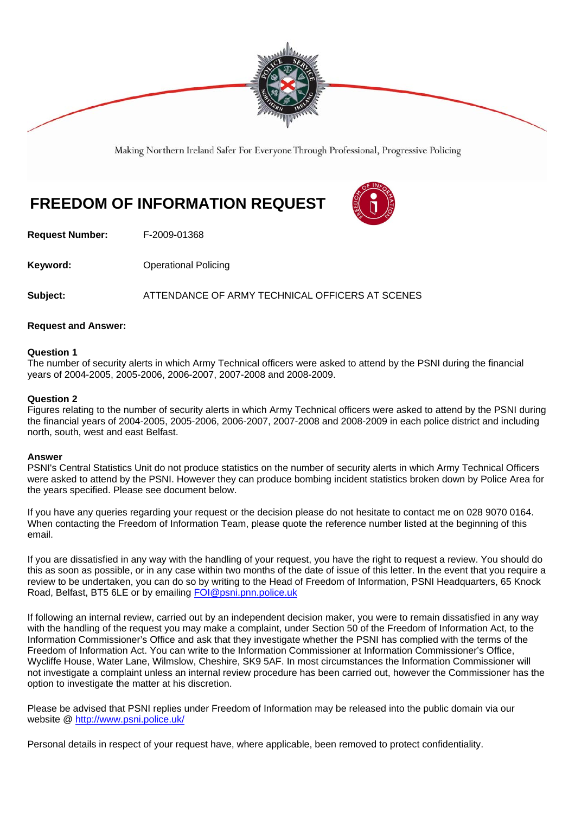

Making Northern Ireland Safer For Everyone Through Professional, Progressive Policing

# **FREEDOM OF INFORMATION REQUEST**



**Request Number:** F-2009-01368

**Keyword: Conservery Operational Policing** 

**Subject:** ATTENDANCE OF ARMY TECHNICAL OFFICERS AT SCENES

#### **Request and Answer:**

#### **Question 1**

The number of security alerts in which Army Technical officers were asked to attend by the PSNI during the financial years of 2004-2005, 2005-2006, 2006-2007, 2007-2008 and 2008-2009.

#### **Question 2**

Figures relating to the number of security alerts in which Army Technical officers were asked to attend by the PSNI during the financial years of 2004-2005, 2005-2006, 2006-2007, 2007-2008 and 2008-2009 in each police district and including north, south, west and east Belfast.

#### **Answer**

PSNI's Central Statistics Unit do not produce statistics on the number of security alerts in which Army Technical Officers were asked to attend by the PSNI. However they can produce bombing incident statistics broken down by Police Area for the years specified. Please see document below.

If you have any queries regarding your request or the decision please do not hesitate to contact me on 028 9070 0164. When contacting the Freedom of Information Team, please quote the reference number listed at the beginning of this email.

If you are dissatisfied in any way with the handling of your request, you have the right to request a review. You should do this as soon as possible, or in any case within two months of the date of issue of this letter. In the event that you require a review to be undertaken, you can do so by writing to the Head of Freedom of Information, PSNI Headquarters, 65 Knock Road, Belfast, BT5 6LE or by emailing FOI@psni.pnn.police.uk

If following an internal review, carried out by an independent decision maker, you were to remain dissatisfied in any way with the handling of the request you may make a complaint, under Section 50 of the Freedom of Information Act, to the Information Commissioner's Office and ask that they investigate whether the PSNI has complied with the terms of the Freedom of Information Act. You can write to the Information Commissioner at Information Commissioner's Office, Wycliffe House, Water Lane, Wilmslow, Cheshire, SK9 5AF. In most circumstances the Information Commissioner will not investigate a complaint unless an internal review procedure has been carried out, however the Commissioner has the option to investigate the matter at his discretion.

Please be advised that PSNI replies under Freedom of Information may be released into the public domain via our website @ http://www.psni.police.uk/

Personal details in respect of your request have, where applicable, been removed to protect confidentiality.